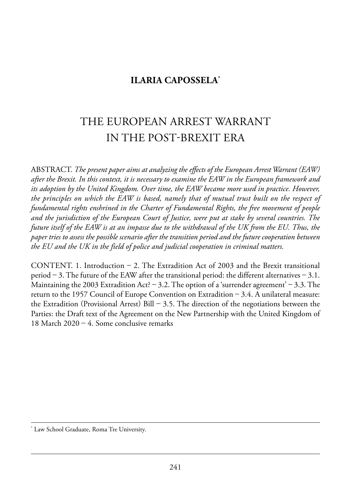# **ILARIA CAPOSSELA\***

# the european arrest warrant in the post-BreXit era

aBstraCt. *The present paper aims at analyzing the effects of the European Arrest Warrant (EAW) after the Brexit. In this context, it is necessary to examine the EAW in the European framework and its adoption by the United Kingdom. Over time, the EAW became more used in practice. However, the principles on which the EAW is based, namely that of mutual trust built on the respect of fundamental rights enshrined in the Charter of Fundamental Rights, the free movement of people and the jurisdiction of the European Court of Justice, were put at stake by several countries. The future itself of the EAW is at an impasse due to the withdrawal of the UK from the EU. Thus, the paper tries to assess the possible scenario after the transition period and the future cooperation between the EU and the UK in the field of police and judicial cooperation in criminal matters.*

CONTENT. 1. Introduction  $-2$ . The Extradition Act of 2003 and the Brexit transitional period  $-3$ . The future of the EAW after the transitional period: the different alternatives  $-3.1$ . Maintaining the 2003 Extradition Act? – 3.2. The option of a 'surrender agreement' – 3.3. The return to the 1957 Council of Europe Convention on Extradition  $-3.4$ . A unilateral measure: the Extradition (Provisional Arrest) Bill – 3.5. The direction of the negotiations between the Parties: the Draft text of the Agreement on the New Partnership with the United Kingdom of 18 March  $2020 - 4$ . Some conclusive remarks

<sup>\*</sup> Law School Graduate, Roma Tre University.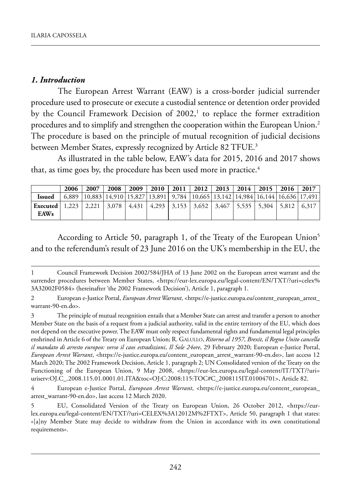#### *1. Introduction*

The European Arrest Warrant (EAW) is a cross-border judicial surrender procedure used to prosecute or execute a custodial sentence or detention order provided by the Council Framework Decision of  $2002<sup>1</sup>$  to replace the former extradition procedures and to simplify and strengthen the cooperation within the European Union.2 The procedure is based on the principle of mutual recognition of judicial decisions between Member States, expressly recognized by Article 82 TFUE.3

As illustrated in the table below, EAW's data for 2015, 2016 and 2017 shows that, as time goes by, the procedure has been used more in practice.<sup>4</sup>

|                                                                                                                                               | 2006 | 2007 | 2008                                                                                                                                             | 2009   2010   2011   2012   2013   2014   2015   2016   2017 |  |  |  |  |
|-----------------------------------------------------------------------------------------------------------------------------------------------|------|------|--------------------------------------------------------------------------------------------------------------------------------------------------|--------------------------------------------------------------|--|--|--|--|
| <b>Issued</b>                                                                                                                                 |      |      | $(6,889 \mid 10,883 \mid 14,910 \mid 15,827 \mid 13,891 \mid 9,784 \mid 10,665 \mid 13,142 \mid 14,984 \mid 16,144 \mid 16,636 \mid 17,491 \mid$ |                                                              |  |  |  |  |
| <b>Executed</b> $\begin{bmatrix} 1,223 & 2,221 & 3,078 & 4,431 & 4,293 & 3,153 & 3,652 & 3,467 & 5,535 & 5,304 & 5,812 & 6,317 \end{bmatrix}$ |      |      |                                                                                                                                                  |                                                              |  |  |  |  |
| <b>EAWs</b>                                                                                                                                   |      |      |                                                                                                                                                  |                                                              |  |  |  |  |

According to Article 50, paragraph 1, of the Treaty of the European Union<sup>5</sup> and to the referendum's result of 23 June 2016 on the UK's membership in the EU, the

1 Council Framework Decision 2002/584/JHA of 13 June 2002 on the European arrest warrant and the surrender procedures between Member States, <https://eur-lex.europa.eu/legal-content/EN/TXT/?uri=celex% 3A32002F0584> (hereinafter 'the 2002 Framework Decision'), Article 1, paragraph 1.

2 European e-Justice Portal, *European Arrest Warrant*, <https://e-justice.europa.eu/content\_european\_arrest\_ warrant-90-en.do>.

3 The principle of mutual recognition entails that a Member State can arrest and transfer a person to another Member State on the basis of a request from a judicial authority, valid in the entire territory of the EU, which does not depend on the executive power. The EAW must only respect fundamental rights and fundamental legal principles enshrined in Article 6 of the Treaty on European Union; R. GALULLO, *Ritorno al 1957, Brexit, il Regno Unito cancella il mandato di arresto europeo: verso il caos estradizioni*, *Il Sole 24ore*, 29 February 2020; European e-Justice Portal, *European Arrest Warrant*, <https://e-justice.europa.eu/content\_european\_arrest\_warrant-90-en.do>, last access 12 March 2020; The 2002 Framework Decision, Article 1, paragraph 2; UN Consolidated version of the Treaty on the Functioning of the European Union, 9 May 2008, [<https://eur-lex.europa.eu/legal-content/IT/TXT/?uri=](https://eur-lex.europa.eu/legal-content/IT/TXT/?uri= uriserv:OJ.C_.2008.115.01.0001.01.ITA&toc=OJ:C:2008:115:TOC#C_2008115IT.01004701) [uriserv:OJ.C\\_.2008.115.01.0001.01.ITA&toc=OJ:C:2008:115:TOC#C\\_2008115IT.01004701>](https://eur-lex.europa.eu/legal-content/IT/TXT/?uri= uriserv:OJ.C_.2008.115.01.0001.01.ITA&toc=OJ:C:2008:115:TOC#C_2008115IT.01004701), Article 82.

4 European e-Justice Portal, *European Arrest Warrant*, [<https://e-justice.europa.eu/content\\_european\\_](https://e-justice.europa.eu/content_european_arrest_warrant-90-en.do) [arrest\\_warrant-90-en.do](https://e-justice.europa.eu/content_european_arrest_warrant-90-en.do)>, last access 12 March 2020.

5 EU, Consolidated Version of the Treaty on European Union, 26 October 2012, [<https://eur](https://eur-lex.europa.eu/legal-content/EN/TXT/?uri=CELEX%3A12012M%2FTXT)[lex.europa.eu/legal-content/EN/TXT/?uri=CELEX%3A12012M%2FTXT](https://eur-lex.europa.eu/legal-content/EN/TXT/?uri=CELEX%3A12012M%2FTXT)>, Article 50, paragraph 1 that states: «[a]ny Member State may decide to withdraw from the Union in accordance with its own constitutional requirements».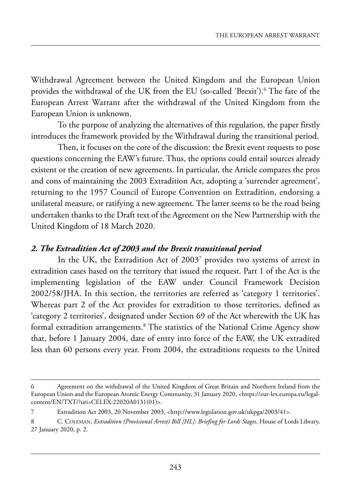Withdrawal Agreement between the United Kingdom and the European Union provides the withdrawal of the UK from the EU (so-called 'Brexit').<sup>6</sup> The fate of the European Arrest Warrant after the withdrawal of the United Kingdom from the European Union is unknown.

To the purpose of analyzing the alternatives of this regulation, the paper firstly introduces the framework provided by the withdrawal during the transitional period.

Then, it focuses on the core of the discussion: the Brexit event requests to pose questions concerning the EAW's future. Thus, the options could entail sources already existent or the creation of new agreements. In particular, the Article compares the pros and cons of maintaining the 2003 Extradition Act, adopting a 'surrender agreement', returning to the 1957 Council of Europe Convention on Extradition, endorsing a unilateral measure, or ratifying a new agreement. The latter seems to be the road being undertaken thanks to the Draft text of the Agreement on the New Partnership with the United Kingdom of 18 March 2020.

### *2. The Extradition Act of 2003 and the Brexit transitional period*

In the UK, the Extradition Act of 2003<sup>7</sup> provides two systems of arrest in extradition cases based on the territory that issued the request. Part 1 of the Act is the implementing legislation of the EAW under Council Framework Decision 2002/58/Jha. in this section, the territories are referred as 'category 1 territories'. Whereas part 2 of the Act provides for extradition to those territories, defined as 'category 2 territories', designated under Section 69 of the Act wherewith the UK has formal extradition arrangements.<sup>8</sup> The statistics of the National Crime Agency show that, before 1 January 2004, date of entry into force of the EAW, the UK extradited less than 60 persons every year. From 2004, the extraditions requests to the United

<sup>6 6</sup> agreement on the withdrawal of the United Kingdom of Great Britain and Northern Ireland from the European Union and the European Atomic Energy Community, 31 January 2020, [<https://eur-lex.europa.eu/legal](https://eur-lex.europa.eu/legal-content/EN/TXT/?uri=CELEX:22020A0131(01))content/EN/TXT/?uri=CELEX:22020A0131(01)>.

<sup>7</sup> extradition act 2003, 20 november 2003, <http://www.legislation.gov.uk/ukpga/2003/41>.

<sup>8</sup> C. Coleman, *Extradition (Provisional Arrest) Bill [HL]: Briefing for Lords Stages*, house of lords library, 27 January 2020, p. 2.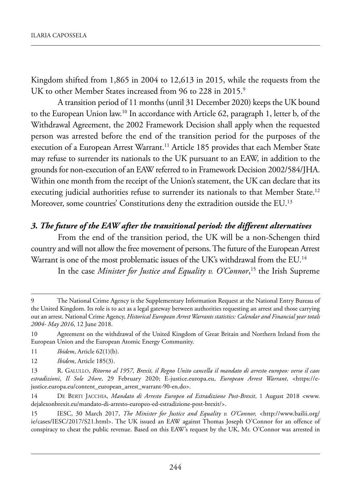kingdom shifted from 1,865 in 2004 to 12,613 in 2015, while the requests from the UK to other Member States increased from 96 to 228 in 2015.<sup>9</sup>

A transition period of 11 months (until 31 December 2020) keeps the UK bound to the European Union law.<sup>10</sup> In accordance with Article 62, paragraph 1, letter b, of the Withdrawal Agreement, the 2002 Framework Decision shall apply when the requested person was arrested before the end of the transition period for the purposes of the execution of a European Arrest Warrant.<sup>11</sup> Article 185 provides that each Member State may refuse to surrender its nationals to the UK pursuant to an EAW, in addition to the grounds for non-execution of an EAW referred to in Framework Decision 2002/584/JHA. Within one month from the receipt of the Union's statement, the UK can declare that its executing judicial authorities refuse to surrender its nationals to that Member State.<sup>12</sup> Moreover, some countries' Constitutions deny the extradition outside the EU.<sup>13</sup>

#### *3. The future of the EAW after the transitional period: the different alternatives*

From the end of the transition period, the UK will be a non-Schengen third country and will not allow the free movement of persons. The future of the European Arrest Warrant is one of the most problematic issues of the UK's withdrawal from the EU.<sup>14</sup>

In the case *Minister for Justice and Equality v. O'Connor*,<sup>15</sup> the Irish Supreme

<sup>9</sup> The National Crime Agency is the Supplementary Information Request at the National Entry Bureau of the United Kingdom. Its role is to act as a legal gateway between authorities requesting an arrest and those carrying out an arrest. National Crime Agency, *Historical European Arrest Warrants statistics: Calendar and Financial year totals 2004- May 2016*, 12 June 2018.

<sup>10</sup> Agreement on the withdrawal of the United Kingdom of Great Britain and Northern Ireland from the European Union and the European Atomic Energy Community.

<sup>11</sup> *Ibidem*, article 62(1)(b).

<sup>12</sup> *Ibidem*, article 185(3).

<sup>13</sup> r. Galullo, *Ritorno al 1957, Brexit, il Regno Unito cancella il mandato di arresto europeo: verso il caos estradizioni*, *Il Sole 24ore*, 29 february 2020; e-justice.europa.eu, *European Arrest Warrant*, <https://ejustice.europa.eu/content\_european\_arrest\_warrant-90-en.do>.

<sup>14</sup> de Berti JaCChia, *Mandato di Arresto Europeo ed Estradizione Post-Brexit*, 1 august 2018 <www. dejalexonbrexit.eu/mandato-di-arresto-europeo-ed-estradizione-post-brexit/>.

<sup>15</sup> iesC, 30 march 2017, *The Minister for Justice and Equality v. O'Connor, <*[http://www.bailii.org/](http://www.bailii.org/ie/cases/IESC/2017/S21.html) ie/cases/IESC/2017/S21.html>. The UK issued an EAW against Thomas Joseph O'Connor for an offence of conspiracy to cheat the public revenue. Based on this EAW's request by the UK, Mr. O'Connor was arrested in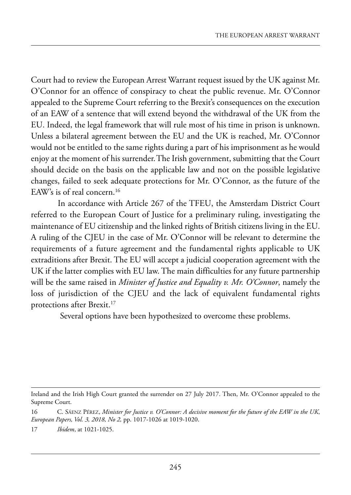Court had to review the European Arrest Warrant request issued by the UK against Mr. O'Connor for an offence of conspiracy to cheat the public revenue. Mr. O'Connor appealed to the supreme Court referring to the Brexit's consequences on the execution of an EAW of a sentence that will extend beyond the withdrawal of the UK from the EU. Indeed, the legal framework that will rule most of his time in prison is unknown. Unless a bilateral agreement between the EU and the UK is reached, Mr. O'Connor would not be entitled to the same rights during a part of his imprisonment as he would enjoy at the moment of his surrender. The Irish government, submitting that the Court should decide on the basis on the applicable law and not on the possible legislative changes, failed to seek adequate protections for Mr. O'Connor, as the future of the EAW's is of real concern.<sup>16</sup>

In accordance with Article 267 of the TFEU, the Amsterdam District Court referred to the European Court of Justice for a preliminary ruling, investigating the maintenance of EU citizenship and the linked rights of British citizens living in the EU. A ruling of the CJEU in the case of Mr. O'Connor will be relevant to determine the requirements of a future agreement and the fundamental rights applicable to UK extraditions after Brexit. The EU will accept a judicial cooperation agreement with the UK if the latter complies with EU law. The main difficulties for any future partnership will be the same raised in *Minister of Justice and Equality v. Mr. O'Connor*, namely the loss of jurisdiction of the CJEU and the lack of equivalent fundamental rights protections after Brexit.17

several options have been hypothesized to overcome these problems.

Ireland and the Irish High Court granted the surrender on 27 July 2017. Then, Mr. O'Connor appealed to the supreme Court.

<sup>16</sup> C. sáenZ péreZ, *Minister for Justice v. O'Connor: A decisive moment for the future of the EAW in the UK*, *European Papers, Vol. 3, 2018, No 2,* pp. 1017-1026 at 1019-1020.

<sup>17</sup> *Ibidem*, at 1021-1025.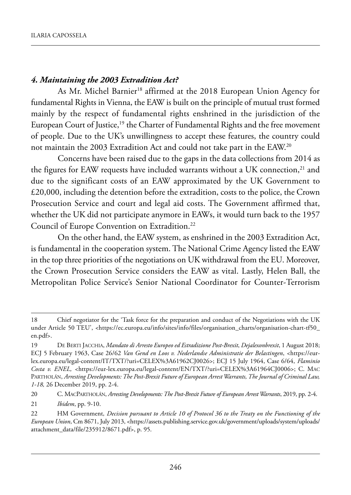## *4. Maintaining the 2003 Extradition Act?*

As Mr. Michel Barnier<sup>18</sup> affirmed at the 2018 European Union Agency for fundamental Rights in Vienna, the EAW is built on the principle of mutual trust formed mainly by the respect of fundamental rights enshrined in the jurisdiction of the European Court of Justice,<sup>19</sup> the Charter of Fundamental Rights and the free movement of people. Due to the UK's unwillingness to accept these features, the country could not maintain the 2003 Extradition Act and could not take part in the EAW.<sup>20</sup>

Concerns have been raised due to the gaps in the data collections from 2014 as the figures for EAW requests have included warrants without a UK connection,<sup>21</sup> and due to the significant costs of an EAW approximated by the UK Government to £20,000, including the detention before the extradition, costs to the police, the Crown Prosecution Service and court and legal aid costs. The Government affirmed that, whether the UK did not participate anymore in EAWs, it would turn back to the 1957 Council of Europe Convention on Extradition.<sup>22</sup>

On the other hand, the EAW system, as enshrined in the 2003 Extradition Act, is fundamental in the cooperation system. The National Crime Agency listed the EAW in the top three priorities of the negotiations on UK withdrawal from the EU. Moreover, the Crown Prosecution Service considers the EAW as vital. Lastly, Helen Ball, the metropolitan police service's senior national Coordinator for Counter-terrorism

20 C. maCpartholán, *Arresting Developments: The Post-Brexit Future of European Arrest Warrants*, 2019, pp. 2-4.

21 *Ibidem*, pp. 9-10.

<sup>18</sup> Chief negotiator for the 'Task force for the preparation and conduct of the Negotiations with the UK under Article 50 TEU', <https://ec.europa.eu/info/sites/info/files/organisation\_charts/organisation-chart-tf50\_ en.pdf>.

<sup>19</sup> de Berti JaCChia, *Mandato di Arresto Europeo ed Estradizione Post-Brexit*, *Dejalexonbrexit*, 1 august 2018; eCJ 5 february 1963, Case 26/62 *Van Gend en Loos v. Nederlandse Administratie der Belastingen*, *<*[https://eur](https://eur-lex.europa.eu/legal-content/IT/TXT/?uri=CELEX%3A61962CJ0026)[lex.europa.eu/legal-content/it/tXt/?uri=CeleX%3a61962CJ0026>](https://eur-lex.europa.eu/legal-content/IT/TXT/?uri=CELEX%3A61962CJ0026); eCJ 15 July 1964, Case 6/64, *Flaminio* Costa v. ENEL, <https://eur-lex.europa.eu/legal-content/EN/TXT/?uri=CELEX%3A61964CJ0006>; C. MAC partholán, *Arresting Developments: The Post-Brexit Future of European Arrest Warrants, The Journal of Criminal Law, 1-18*, 26 December 2019, pp. 2-4.

<sup>22</sup> hm Government*, Decision pursuant to Article 10 of Protocol 36 to the Treaty on the Functioning of the European Union*, Cm 8671, July 2013, <https://assets.publishing.service.gov.uk/government/uploads/system/uploads/ attachment\_data/file/235912/8671.pdf>, p. 95.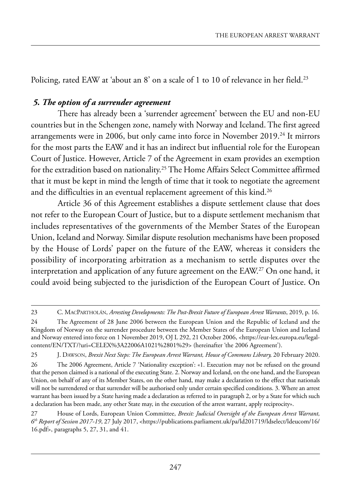Policing, rated EAW at 'about an 8' on a scale of 1 to 10 of relevance in her field.<sup>23</sup>

## *5. The option of a surrender agreement*

There has already been a 'surrender agreement' between the EU and non-EU countries but in the Schengen zone, namely with Norway and Iceland. The first agreed arrangements were in 2006, but only came into force in November  $2019.^{24}$  It mirrors for the most parts the EAW and it has an indirect but influential role for the European Court of Justice. However, Article 7 of the Agreement in exam provides an exemption for the extradition based on nationality.<sup>25</sup> The Home Affairs Select Committee affirmed that it must be kept in mind the length of time that it took to negotiate the agreement and the difficulties in an eventual replacement agreement of this kind.<sup>26</sup>

Article 36 of this Agreement establishes a dispute settlement clause that does not refer to the European Court of Justice, but to a dispute settlement mechanism that includes representatives of the governments of the Member States of the European Union, Iceland and Norway. Similar dispute resolution mechanisms have been proposed by the House of Lords' paper on the future of the EAW, whereas it considers the possibility of incorporating arbitration as a mechanism to settle disputes over the interpretation and application of any future agreement on the EAW.<sup>27</sup> On one hand, it could avoid being subjected to the jurisdiction of the European Court of Justice. On

<sup>23</sup> C. maCpartholán, *Arresting Developments: The Post-Brexit Future of European Arrest Warrants*, 2019, p. 16.

<sup>24</sup> The Agreement of 28 June 2006 between the European Union and the Republic of Iceland and the Kingdom of Norway on the surrender procedure between the Member States of the European Union and Iceland and Norway entered into force on 1 November 2019, OJ L 292, 21 October 2006, [<https://eur-lex.europa.eu/legal](https://eur-lex.europa.eu/legal-content/EN/TXT/?uri=CELEX%3A22006A1021%2801%29)content/EN/TXT/?uri=CELEX%3A22006A1021%2801%29> (hereinafter 'the 2006 Agreement').

<sup>25</sup> J. dawson, *Brexit Next Steps: The European Arrest Warrant, House of Commons Library,* 20 february 2020.

<sup>26</sup> The 2006 Agreement, Article 7 'Nationality exception': «1. Execution may not be refused on the ground that the person claimed is a national of the executing State. 2. Norway and Iceland, on the one hand, and the European Union, on behalf of any of its Member States, on the other hand, may make a declaration to the effect that nationals will not be surrendered or that surrender will be authorised only under certain specified conditions. 3. where an arrest warrant has been issued by a state having made a declaration as referred to in paragraph 2, or by a state for which such a declaration has been made, any other state may, in the execution of the arrest warrant, apply reciprocity».

<sup>27</sup> house of lords, european union Committee, *Brexit: Judicial Oversight of the European Arrest Warrant, 6th Report of Session 2017-19*, 27 July 2017, <https://publications.parliament.uk/pa/ld201719/ldselect/ldeucom/16/ 16.pdf>, paragraphs 5, 27, 31, and 41.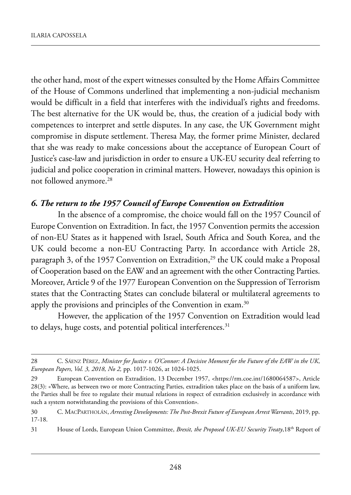the other hand, most of the expert witnesses consulted by the Home Affairs Committee of the house of Commons underlined that implementing a non-judicial mechanism would be difficult in a field that interferes with the individual's rights and freedoms. The best alternative for the UK would be, thus, the creation of a judicial body with competences to interpret and settle disputes. In any case, the UK Government might compromise in dispute settlement. Theresa May, the former prime Minister, declared that she was ready to make concessions about the acceptance of European Court of Justice's case-law and jurisdiction in order to ensure a UK-EU security deal referring to judicial and police cooperation in criminal matters. However, nowadays this opinion is not followed anymore.<sup>28</sup>

### *6. The return to the 1957 Council of Europe Convention on Extradition*

In the absence of a compromise, the choice would fall on the 1957 Council of Europe Convention on Extradition. In fact, the 1957 Convention permits the accession of non-EU States as it happened with Israel, South Africa and South Korea, and the UK could become a non-EU Contracting Party. In accordance with Article 28, paragraph 3, of the 1957 Convention on Extradition,<sup>29</sup> the UK could make a Proposal of Cooperation based on the EAW and an agreement with the other Contracting Parties. Moreover, Article 9 of the 1977 European Convention on the Suppression of Terrorism states that the Contracting States can conclude bilateral or multilateral agreements to apply the provisions and principles of the Convention in exam.<sup>30</sup>

However, the application of the 1957 Convention on Extradition would lead to delays, huge costs, and potential political interferences.<sup>31</sup>

<sup>28</sup> C. sáenZ péreZ, *Minister for Justice v. O'Connor: A Decisive Moment for the Future of the EAW in the UK*, *European Papers, Vol. 3, 2018, No 2,* pp. 1017-1026, at 1024-1025.

<sup>29</sup> European Convention on Extradition, 13 December 1957, <https://rm.coe.int/1680064587>, Article 28(3): «where, as between two or more Contracting parties, extradition takes place on the basis of a uniform law, the parties shall be free to regulate their mutual relations in respect of extradition exclusively in accordance with such a system notwithstanding the provisions of this Convention»*.*

<sup>30</sup> C. maCpartholán, *Arresting Developments: The Post-Brexit Future of European Arrest Warrants*, 2019, pp. 17-18.

<sup>31</sup> House of Lords, European Union Committee, *Brexit, the Proposed UK-EU Security Treaty*, 18<sup>th</sup> Report of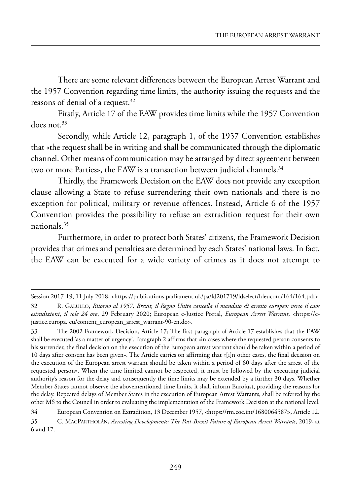There are some relevant differences between the European Arrest Warrant and the 1957 Convention regarding time limits, the authority issuing the requests and the reasons of denial of a request.32

Firstly, Article 17 of the EAW provides time limits while the 1957 Convention does not.<sup>33</sup>

Secondly, while Article 12, paragraph 1, of the 1957 Convention establishes that «the request shall be in writing and shall be communicated through the diplomatic channel. other means of communication may be arranged by direct agreement between two or more Parties», the EAW is a transaction between judicial channels.<sup>34</sup>

Thirdly, the Framework Decision on the EAW does not provide any exception clause allowing a state to refuse surrendering their own nationals and there is no exception for political, military or revenue offences. instead, article 6 of the 1957 Convention provides the possibility to refuse an extradition request for their own nationals.35

Furthermore, in order to protect both States' citizens, the Framework Decision provides that crimes and penalties are determined by each States' national laws. In fact, the EAW can be executed for a wide variety of crimes as it does not attempt to

session 2017-19, 11 July 2018, <https://publications.parliament.uk/pa/ld201719/ldselect/ldeucom/164/164.pdf>.

<sup>32</sup> r. Galullo, *Ritorno al 1957, Brexit, il Regno Unito cancella il mandato di arresto europeo: verso il caos estradizioni*, *il sole 24 ore*, 29 february 2020; european e-Justice portal, *European Arrest Warrant*, <https://ejustice.europa. eu/content\_european\_arrest\_warrant-90-en.do>.

<sup>33</sup> The 2002 Framework Decision, Article 17; The first paragraph of Article 17 establishes that the EAW shall be executed 'as a matter of urgency'. paragraph 2 affirms that «in cases where the requested person consents to his surrender, the final decision on the execution of the European arrest warrant should be taken within a period of 10 days after consent has been given». The Article carries on affirming that «[i]n other cases, the final decision on the execution of the European arrest warrant should be taken within a period of 60 days after the arrest of the requested person». when the time limited cannot be respected, it must be followed by the executing judicial authority's reason for the delay and consequently the time limits may be extended by a further 30 days. whether Member States cannot observe the abovementioned time limits, it shall inform Eurojust, providing the reasons for the delay. Repeated delays of Member States in the execution of European Arrest Warrants, shall be referred by the other MS to the Council in order to evaluating the implementation of the Framework Decision at the national level.

<sup>34</sup> european Convention on extradition, 13 december 1957, <https://rm.coe.int/1680064587>, article 12.

<sup>35</sup> C. maCpartholán, *Arresting Developments: The Post-Brexit Future of European Arrest Warrants*, 2019, at 6 and 17.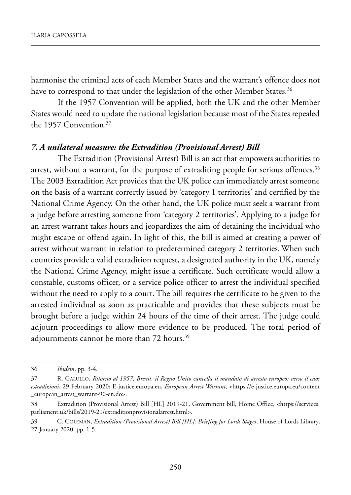harmonise the criminal acts of each Member States and the warrant's offence does not have to correspond to that under the legislation of the other Member States.<sup>36</sup>

If the 1957 Convention will be applied, both the UK and the other Member States would need to update the national legislation because most of the States repealed the 1957 Convention.37

#### *7. A unilateral measure: the Extradition (Provisional Arrest) Bill*

The Extradition (Provisional Arrest) Bill is an act that empowers authorities to arrest, without a warrant, for the purpose of extraditing people for serious offences.<sup>38</sup> The 2003 Extradition Act provides that the UK police can immediately arrest someone on the basis of a warrant correctly issued by 'category 1 territories' and certified by the National Crime Agency. On the other hand, the UK police must seek a warrant from a judge before arresting someone from 'category 2 territories'. Applying to a judge for an arrest warrant takes hours and jeopardizes the aim of detaining the individual who might escape or offend again. In light of this, the bill is aimed at creating a power of arrest without warrant in relation to predetermined category 2 territories. When such countries provide a valid extradition request, a designated authority in the UK, namely the National Crime Agency, might issue a certificate. Such certificate would allow a constable, customs officer, or a service police officer to arrest the individual specified without the need to apply to a court. The bill requires the certificate to be given to the arrested individual as soon as practicable and provides that these subjects must be brought before a judge within 24 hours of the time of their arrest. The judge could adjourn proceedings to allow more evidence to be produced. The total period of adjournments cannot be more than 72 hours.<sup>39</sup>

<sup>36</sup> *Ibidem*, pp. 3-4.

<sup>37</sup> R. GALULLO, *Ritorno al 1957, Brexit, il Regno Unito cancella il mandato di arresto europeo: verso il caos estradizioni*, 29 February 2020; E-justice.europa.eu, *European Arrest Warrant*, <https://e-justice.europa.eu/content \_european\_arrest\_warrant-90-en.do>.

<sup>38</sup> Extradition (Provisional Arrest) Bill [HL] 2019-21, Government bill, Home Office, <https://services. parliament.uk/bills/2019-21/extraditionprovisionalarrest.html>.

<sup>39</sup> C. COLEMAN, *Extradition (Provisional Arrest) Bill [HL]: Briefing for Lords Stages*, House of Lords Library, 27 January 2020, pp. 1-5.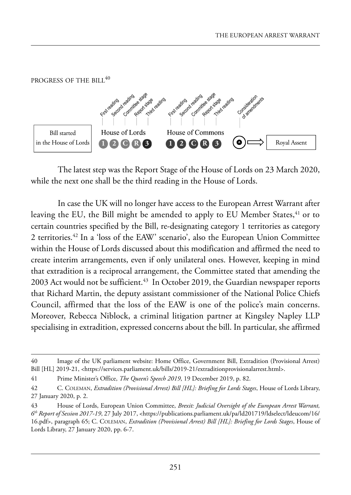PROGRESS OF THE BILL<sup>40</sup>



The latest step was the Report Stage of the House of Lords on 23 March 2020, while the next one shall be the third reading in the House of Lords.

In case the UK will no longer have access to the European Arrest Warrant after leaving the EU, the Bill might be amended to apply to EU Member States,<sup>41</sup> or to certain countries specified by the Bill, re-designating category 1 territories as category 2 territories.42 In a 'loss of the EAW' scenario', also the European Union Committee within the House of Lords discussed about this modification and affirmed the need to create interim arrangements, even if only unilateral ones. However, keeping in mind that extradition is a reciprocal arrangement, the Committee stated that amending the 2003 Act would not be sufficient.<sup>43</sup> In October 2019, the Guardian newspaper reports that Richard Martin, the deputy assistant commissioner of the National Police Chiefs Council, affirmed that the loss of the EAW is one of the police's main concerns. Moreover, Rebecca Niblock, a criminal litigation partner at Kingsley Napley LLP specialising in extradition, expressed concerns about the bill. In particular, she affirmed

<sup>40</sup> Image of the UK parliament website: Home Office, Government Bill, Extradition (Provisional Arrest) Bill [HL] 2019-21, <https://services.parliament.uk/bills/2019-21/extraditionprovisionalarrest.html>.

<sup>41</sup> Prime Minister's Office, *The Queen's Speech 2019*, 19 December 2019, p. 82.

<sup>42</sup> C. COLEMAN, *Extradition (Provisional Arrest) Bill [HL]: Briefing for Lords Stages*, House of Lords Library, 27 January 2020, p. 2.

<sup>43</sup> House of Lords, European Union Committee, *Brexit: Judicial Oversight of the European Arrest Warrant, 6th Report of Session 2017-19*, 27 July 2017, <https://publications.parliament.uk/pa/ld201719/ldselect/ldeucom/16/ 16.pdf>, paragraph 65; C. COLEMAN, *Extradition (Provisional Arrest) Bill [HL]: Briefing for Lords Stages*, House of Lords Library, 27 January 2020, pp. 6-7.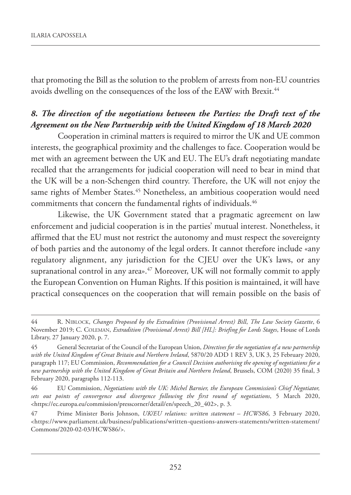that promoting the Bill as the solution to the problem of arrests from non-EU countries avoids dwelling on the consequences of the loss of the EAW with Brexit.<sup>44</sup>

# *8. The direction of the negotiations between the Parties: the Draft text of the Agreement on the New Partnership with the United Kingdom of 18 March 2020*

Cooperation in criminal matters is required to mirror the UK and UE common interests, the geographical proximity and the challenges to face. Cooperation would be met with an agreement between the UK and EU. The EU's draft negotiating mandate recalled that the arrangements for judicial cooperation will need to bear in mind that the UK will be a non-Schengen third country. Therefore, the UK will not enjoy the same rights of Member States.<sup>45</sup> Nonetheless, an ambitious cooperation would need commitments that concern the fundamental rights of individuals.46

Likewise, the UK Government stated that a pragmatic agreement on law enforcement and judicial cooperation is in the parties' mutual interest. Nonetheless, it affirmed that the EU must not restrict the autonomy and must respect the sovereignty of both parties and the autonomy of the legal orders. It cannot therefore include «any regulatory alignment, any jurisdiction for the CJEU over the UK's laws, or any supranational control in any area».<sup>47</sup> Moreover, UK will not formally commit to apply the European Convention on Human Rights. If this position is maintained, it will have practical consequences on the cooperation that will remain possible on the basis of

<sup>44</sup> R. NIBLOCK, *Changes Proposed by the Extradition (Provisional Arrest) Bill*, *The Law Society Gazette*, 6 November 2019; C. COLEMAN, *Extradition (Provisional Arrest) Bill [HL]: Briefing for Lords Stages*, House of Lords Library, 27 January 2020, p. 7.

<sup>45</sup> General Secretariat of the Council of the European Union, *Directives for the negotiation of a new partnership with the United Kingdom of Great Britain and Northern Ireland*, 5870/20 ADD 1 REV 3, UK 3, 25 February 2020, paragraph 117; EU Commission, *Recommendation for a Council Decision authorising the opening of negotiations for a new partnership with the United Kingdom of Great Britain and Northern Ireland*, Brussels, COM (2020) 35 final, 3 February 2020, paragraphs 112-113.

<sup>46</sup> EU Commission, *Negotiations with the UK: Michel Barnier, the European Commission's Chief Negotiator, sets out points of convergence and divergence following the first round of negotiations*, 5 March 2020, <https://ec.europa.eu/commission/presscorner/detail/en/speech\_20\_402>, p. 3.

<sup>47</sup> Prime Minister Boris Johnson, *UK/EU relations: written statement – HCWS86*, 3 February 2020, <https://www.parliament.uk/business/publications/written-questions-answers-statements/written-statement/ Commons/2020-02-03/HCWS86/>.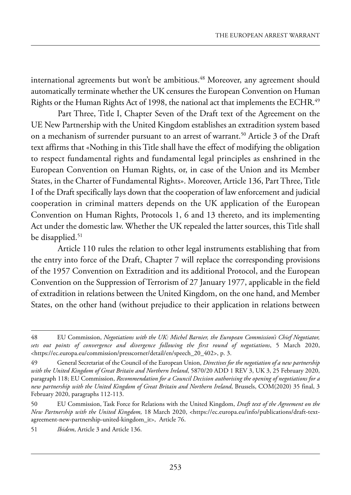international agreements but won't be ambitious.<sup>48</sup> Moreover, any agreement should automatically terminate whether the UK censures the European Convention on Human Rights or the Human Rights Act of 1998, the national act that implements the ECHR.<sup>49</sup>

Part Three, Title I, Chapter Seven of the Draft text of the Agreement on the UE New Partnership with the United Kingdom establishes an extradition system based on a mechanism of surrender pursuant to an arrest of warrant.<sup>50</sup> Article 3 of the Draft text affirms that «Nothing in this Title shall have the effect of modifying the obligation to respect fundamental rights and fundamental legal principles as enshrined in the European Convention on Human Rights, or, in case of the Union and its Member States, in the Charter of Fundamental Rights». Moreover, Article 136, Part Three, Title I of the Draft specifically lays down that the cooperation of law enforcement and judicial cooperation in criminal matters depends on the UK application of the European Convention on Human Rights, Protocols 1, 6 and 13 thereto, and its implementing Act under the domestic law. Whether the UK repealed the latter sources, this Title shall be disapplied.<sup>51</sup>

Article 110 rules the relation to other legal instruments establishing that from the entry into force of the Draft, Chapter 7 will replace the corresponding provisions of the 1957 Convention on Extradition and its additional Protocol, and the European Convention on the Suppression of Terrorism of 27 January 1977, applicable in the field of extradition in relations between the United Kingdom, on the one hand, and Member states, on the other hand (without prejudice to their application in relations between

51 *Ibidem*, article 3 and article 136.

<sup>48</sup> eu Commission, *Negotiations with the UK: Michel Barnier, the European Commission's Chief Negotiator, sets out points of convergence and divergence following the first round of negotiations*, 5 march 2020, <https://ec.europa.eu/commission/presscorner/detail/en/speech\_20\_402>, p. 3.

<sup>49</sup> General secretariat of the Council of the european union, *Directives for the negotiation of a new partnership* with the United Kingdom of Great Britain and Northern Ireland, 5870/20 ADD 1 REV 3, UK 3, 25 February 2020, paragraph 118; EU Commission, *Recommendation for a Council Decision authorising the opening of negotiations for a new partnership with the United Kingdom of Great Britain and Northern Ireland*, Brussels, Com(2020) 35 final, 3 february 2020, paragraphs 112-113.

<sup>50</sup> eu Commission, task force for relations with the united kingdom, *Draft text of the Agreement on the New Partnership with the United Kingdom,* 18 march 2020, <https://ec.europa.eu/info/publications/draft-textagreement-new-partnership-united-kingdom\_it>, article 76.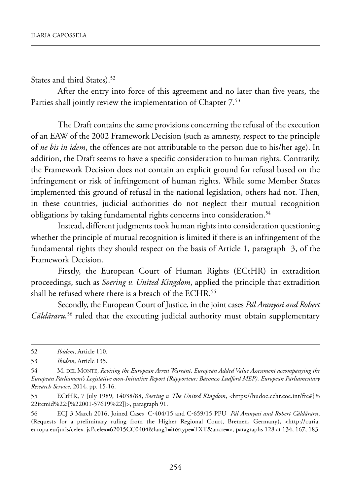States and third States).<sup>52</sup>

After the entry into force of this agreement and no later than five years, the Parties shall jointly review the implementation of Chapter 7.53

The Draft contains the same provisions concerning the refusal of the execution of an EAW of the 2002 Framework Decision (such as amnesty, respect to the principle of *ne bis in idem*, the offences are not attributable to the person due to his/her age). in addition, the Draft seems to have a specific consideration to human rights. Contrarily, the Framework Decision does not contain an explicit ground for refusal based on the infringement or risk of infringement of human rights. While some Member States implemented this ground of refusal in the national legislation, others had not. Then, in these countries, judicial authorities do not neglect their mutual recognition obligations by taking fundamental rights concerns into consideration.<sup>54</sup>

Instead, different judgments took human rights into consideration questioning whether the principle of mutual recognition is limited if there is an infringement of the fundamental rights they should respect on the basis of Article 1, paragraph 3, of the Framework Decision.

Firstly, the European Court of Human Rights (ECtHR) in extradition proceedings, such as *Soering v. United Kingdom*, applied the principle that extradition shall be refused where there is a breach of the ECHR.<sup>55</sup>

Secondly, the European Court of Justice, in the joint cases *Pál Aranyosi and Robert Căldăraru,*<sup>56</sup> ruled that the executing judicial authority must obtain supplementary

<sup>52</sup> *Ibidem*, article 110.

<sup>53</sup> *Ibidem*, article 135.

<sup>54</sup> M. DEL MONTE, *Revising the European Arrest Warrant, European Added Value Assessment accompanying the European Parliament's Legislative own-Initiative Report (Rapporteur: Baroness Ludford MEP), European Parliamentary Research Service,* 2014, pp. 15-16.

<sup>55</sup> eCthr, 7 July 1989, 14038/88, *Soering v. The United Kingdom*, <https://hudoc.echr.coe.int/fre#{% 22itemid%22:[%22001-57619%22]}>, paragraph 91.

<sup>56</sup> eCJ 3 march 2016, Joined Cases C‑404/15 and C‑659/15 ppu *Pál Aranyosi and Robert Căldăraru*, (Requests for a preliminary ruling from the Higher Regional Court, Bremen, Germany), <http://curia. europa.eu/juris/celex. jsf?celex=62015CC0404&lang1=it&type=TXT&ancre=>, paragraphs 128 at 134, 167, 183.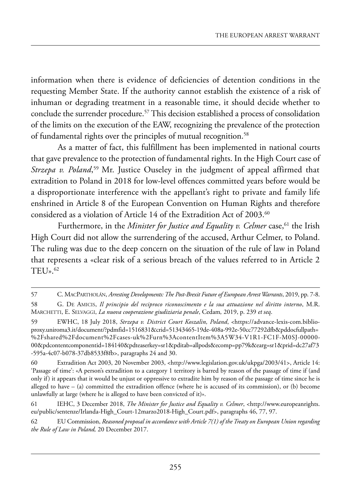information when there is evidence of deficiencies of detention conditions in the requesting Member State. If the authority cannot establish the existence of a risk of inhuman or degrading treatment in a reasonable time, it should decide whether to conclude the surrender procedure.<sup>57</sup> This decision established a process of consolidation of the limits on the execution of the EAW, recognizing the prevalence of the protection of fundamental rights over the principles of mutual recognition.<sup>58</sup>

As a matter of fact, this fulfillment has been implemented in national courts that gave prevalence to the protection of fundamental rights. In the High Court case of *Strzepa v. Poland*,<sup>59</sup> Mr. Justice Ouseley in the judgment of appeal affirmed that extradition to Poland in 2018 for low-level offences committed years before would be a disproportionate interference with the appellant's right to private and family life enshrined in Article 8 of the European Convention on Human Rights and therefore considered as a violation of Article 14 of the Extradition Act of 2003.<sup>60</sup>

Furthermore, in the *Minister for Justice and Equality v. Celmer* case,<sup>61</sup> the Irish High Court did not allow the surrendering of the accused, Arthur Celmer, to Poland. The ruling was due to the deep concern on the situation of the rule of law in Poland that represents a «clear risk of a serious breach of the values referred to in Article 2 TEU». $62$ 

<sup>57</sup> C. maCpartholán, *Arresting Developments: The Post-Brexit Future of European Arrest Warrants*, 2019, pp. 7-8.

<sup>58</sup> G. DE AMICIS, *Il principio del reciproco riconoscimento e la sua attuazione nel diritto interno*, M.R. marChetti, e. selVaGGi, *La nuova cooperazione giudiziaria penale*, Cedam*,* 2019, p. 239 *et seq*.

<sup>59</sup> ewhC, 18 July 2018, *Strzepa v. District Court Koszalin, Poland*, <https://advance-lexis-com.biblioproxy.uniroma3.it/document/?pdmfid=1516831&crid=51343465-19de-408a-992e-50cc77292dfb&pddocfullpath= %2fshared%2fdocument%2fcases-uk%2furn%3acontentitem%3a5w34-V1r1-fC1f-m0sJ-00000- 00&pdcontentcomponentid=184140&pdteaserkey=sr1&pditab=allpods&ecomp=pp79k&earg=sr1&prid=dc27af73 -595a-4c07-b078-37db8533f8fb>, paragraphs 24 and 30.

<sup>60</sup> extradition act 2003, 20 november 2003, <http://www.legislation.gov.uk/ukpga/2003/41>, article 14: 'Passage of time': «A person's extradition to a category 1 territory is barred by reason of the passage of time if (and only if) it appears that it would be unjust or oppressive to extradite him by reason of the passage of time since he is alleged to have – (a) committed the extradition offence (where he is accused of its commission), or (b) become unlawfully at large (where he is alleged to have been convicted of it)».

<sup>61</sup> IEHC, 3 December 2018, *The Minister for Justice and Equality v. Celmer*, [<http://www.europeanrights.](http://www.europeanrights.eu/public/sentenze/Irlanda-High_Court-12marzo2018-High_Court.pdf) [eu/public/sentenze/irlanda-high\\_Court-12marzo2018-high\\_Court.pdf>](http://www.europeanrights.eu/public/sentenze/Irlanda-High_Court-12marzo2018-High_Court.pdf), paragraphs 46, 77, 97.

<sup>62</sup> eu Commission, *Reasoned proposal in accordance with Article 7(1) of the Treaty on European Union regarding the Rule of Law in Poland,* 20 December 2017.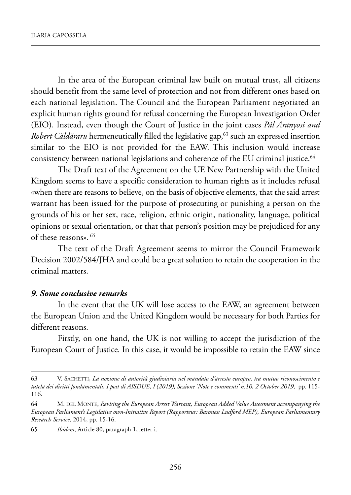In the area of the European criminal law built on mutual trust, all citizens should benefit from the same level of protection and not from different ones based on each national legislation. The Council and the European Parliament negotiated an explicit human rights ground for refusal concerning the European Investigation Order (EIO). Instead, even though the Court of Justice in the joint cases *Pál Aranyosi and Robert Căldăraru* hermeneutically filled the legislative gap,<sup>63</sup> such an expressed insertion similar to the EIO is not provided for the EAW. This inclusion would increase consistency between national legislations and coherence of the EU criminal justice.<sup>64</sup>

The Draft text of the Agreement on the UE New Partnership with the United kingdom seems to have a specific consideration to human rights as it includes refusal «when there are reasons to believe, on the basis of objective elements, that the said arrest warrant has been issued for the purpose of prosecuting or punishing a person on the grounds of his or her sex, race, religion, ethnic origin, nationality, language, political opinions or sexual orientation, or that that person's position may be prejudiced for any of these reasons». <sup>65</sup>

The text of the Draft Agreement seems to mirror the Council Framework Decision 2002/584/JHA and could be a great solution to retain the cooperation in the criminal matters.

#### *9. Some conclusive remarks*

In the event that the UK will lose access to the EAW, an agreement between the European Union and the United Kingdom would be necessary for both Parties for different reasons.

Firstly, on one hand, the UK is not willing to accept the jurisdiction of the European Court of Justice. In this case, it would be impossible to retain the EAW since

<sup>63</sup> V. saChetti, *La nozione di autorità giudiziaria nel mandato d'arresto europeo, tra mutuo riconoscimento e tutela dei diritti fondamentali, I post di AISDUE, I (2019), Sezione 'Note e commenti' n.10, 2 October 2019,* pp. 115- 116.

<sup>64</sup> m. del monte, *Revising the European Arrest Warrant, European Added Value Assessment accompanying the European Parliament's Legislative own-Initiative Report (Rapporteur: Baroness Ludford MEP), European Parliamentary Research Service,* 2014, pp. 15-16.

<sup>65</sup> *Ibidem*, article 80, paragraph 1, letter i.